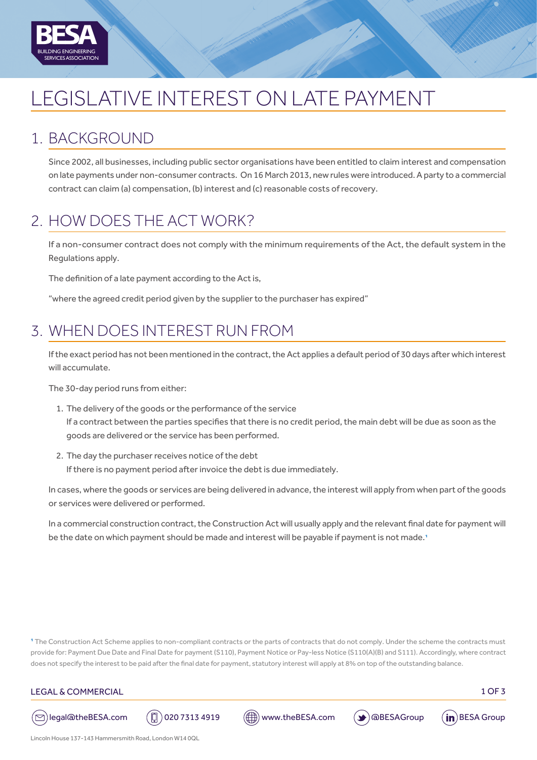

# LEGISLATIVE INTEREST ON LATE PAYMENT

### 1. BACKGROUND

Since 2002, all businesses, including public sector organisations have been entitled to claim interest and compensation on late payments under non-consumer contracts. On 16 March 2013, new rules were introduced. A party to a commercial contract can claim (a) compensation, (b) interest and (c) reasonable costs of recovery.

# 2. HOW DOES THE ACT WORK?

If a non-consumer contract does not comply with the minimum requirements of the Act, the default system in the Regulations apply.

The definition of a late payment according to the Act is,

"where the agreed credit period given by the supplier to the purchaser has expired"

## 3. WHEN DOES INTEREST RUN FROM

If the exact period has not been mentioned in the contract, the Act applies a default period of 30 days after which interest will accumulate.

The 30-day period runs from either:

- 1. The delivery of the goods or the performance of the service If a contract between the parties specifies that there is no credit period, the main debt will be due as soon as the goods are delivered or the service has been performed.
- 2. The day the purchaser receives notice of the debt If there is no payment period after invoice the debt is due immediately.

In cases, where the goods or services are being delivered in advance, the interest will apply from when part of the goods or services were delivered or performed.

In a commercial construction contract, the Construction Act will usually apply and the relevant final date for payment will be the date on which payment should be made and interest will be payable if payment is not made.<sup>1</sup>

<sup>1</sup> The Construction Act Scheme applies to non-compliant contracts or the parts of contracts that do not comply. Under the scheme the contracts must provide for: Payment Due Date and Final Date for payment (S110), Payment Notice or Pay-less Notice (S110(A)(B) and S111). Accordingly, where contract does not specify the interest to be paid after the final date for payment, statutory interest will apply at 8% on top of the outstanding balance.

#### LEGAL & COMMERCIAL 2007 2008 12:00 12:00 12:00 12:00 12:00 13:00 13:00 13:00 13:00 13:00 13:00 13:00 13:00 13:00 13:00 13:00 13:00 13:00 13:00 13:00 13:00 13:00 13:00 13:00 13:00 13:00 13:00 13:00 13:00 13:00 13:00 13:00 1









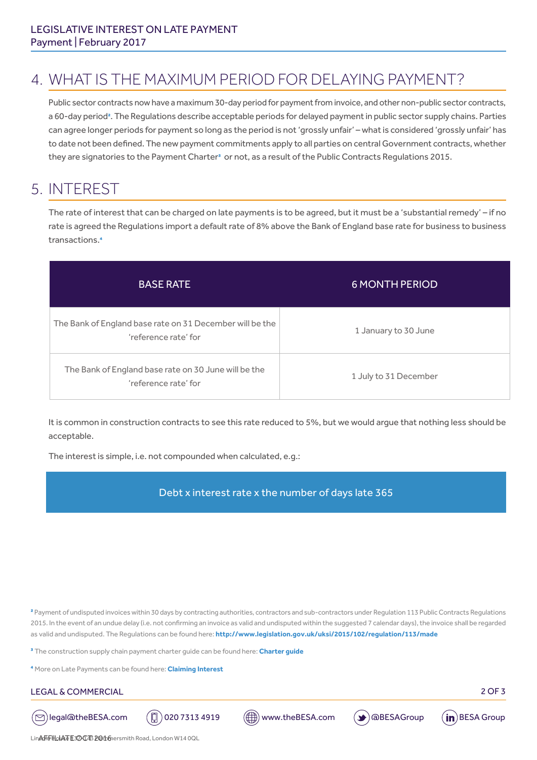# 4. WHAT IS THE MAXIMUM PERIOD FOR DELAYING PAYMENT?

Public sector contracts now have a maximum 30-day period for payment from invoice, and other non-public sector contracts, a 60-day period<sup>2</sup>. The Regulations describe acceptable periods for delayed payment in public sector supply chains. Parties can agree longer periods for payment so long as the period is not 'grossly unfair' – what is considered 'grossly unfair' has to date not been defined. The new payment commitments apply to all parties on central Government contracts, whether they are signatories to the Payment Charter<sup>3</sup> or not, as a result of the Public Contracts Regulations 2015.

### 5. INTEREST

The rate of interest that can be charged on late payments is to be agreed, but it must be a 'substantial remedy' – if no rate is agreed the Regulations import a default rate of 8% above the Bank of England base rate for business to business transactions.4

| <b>BASE RATE</b>                                                                 | <b>6 MONTH PERIOD</b> |
|----------------------------------------------------------------------------------|-----------------------|
| The Bank of England base rate on 31 December will be the<br>'reference rate' for | 1 January to 30 June  |
| The Bank of England base rate on 30 June will be the<br>'reference rate' for     | 1 July to 31 December |

It is common in construction contracts to see this rate reduced to 5%, but we would argue that nothing less should be acceptable.

The interest is simple, i.e. not compounded when calculated, e.g.:

Debt x interest rate x the number of days late 365

<sup>2</sup> Payment of undisputed invoices within 30 days by contracting authorities, contractors and sub-contractors under Regulation 113 Public Contracts Regulations 2015. In the event of an undue delay (i.e. not confirming an invoice as valid and undisputed within the suggested 7 calendar days), the invoice shall be regarded as valid and undisputed. The Regulations can be found here:**<http://www.legislation.gov.uk/uksi/2015/102/regulation/113/made>**

3 The construction supply chain payment charter guide can be found here: **[Charter guide](http://builduk.org/wp-content/uploads/2017/01/Implementing-the-Construction-Supply-Chain-Payment-Charter-Guidance-Note.pdf)**

4 More on Late Payments can be found here: **[Claiming Interest](https://www.gov.uk/late-commercial-payments-interest-debt-recovery/claim-debt-recovery-costs)** 

#### LEGAL & COMMERCIAL 2 OF 3